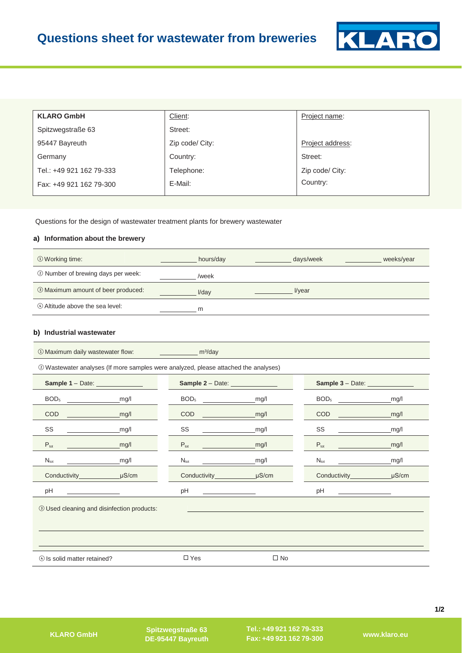

| <b>KLARO GmbH</b>        | Client:         | Project name:    |
|--------------------------|-----------------|------------------|
| Spitzwegstraße 63        | Street:         |                  |
| 95447 Bayreuth           | Zip code/ City: | Project address: |
| Germany                  | Country:        | Street:          |
| Tel.: +49 921 162 79-333 | Telephone:      | Zip code/ City:  |
| Fax: +49 921 162 79-300  | E-Mail:         | Country:         |
|                          |                 |                  |

Questions for the design of wastewater treatment plants for brewery wastewater

# **a) Information about the brewery**

| ① Working time:                    | hours/day | days/week | weeks/year |
|------------------------------------|-----------|-----------|------------|
| 2 Number of brewing days per week: | /week     |           |            |
| 3 Maximum amount of beer produced: | $V$ dav   | l/year    |            |
| 4 Altitude above the sea level:    | m         |           |            |

#### **b) Industrial wastewater**

| 10 Maximum daily wastewater flow:                                                   |            | <b>Example 2018</b> m <sup>3</sup> /day |            |                         |            |
|-------------------------------------------------------------------------------------|------------|-----------------------------------------|------------|-------------------------|------------|
| 2 Wastewater analyses (If more samples were analyzed, please attached the analyses) |            |                                         |            |                         |            |
| Sample 1 - Date: ______________                                                     |            | Sample 2 - Date: _____________          |            | Sample 3 - Date: ______ |            |
| BOD <sub>5</sub>                                                                    | mg/l       | BOD <sub>5</sub>                        | mg/l       | BOD <sub>5</sub>        | mg/l       |
| <b>COD</b>                                                                          | mg/l       | COD                                     | mg/l       | COD                     | mg/l       |
| SS                                                                                  | mg/l       | SS                                      | mg/l       | SS                      | mg/l       |
| $P_{\text{tot}}$                                                                    | mg/l       | $P_{\text{tot}}$                        | mg/l       | $P_{\text{tot}}$        | mg/l       |
| $N_{\text{tot}}$                                                                    | mg/l       | $N_{\rm tot}$                           | mg/l       | $N_{\text{tot}}$        | mg/l       |
|                                                                                     | $\mu$ S/cm | Conductivity______                      | $\mu$ S/cm | Conductivity_______     | $\mu$ S/cm |
| pH                                                                                  |            | pH                                      |            | рH                      |            |
| <b>3 Used cleaning and disinfection products:</b>                                   |            |                                         |            |                         |            |
| 4 Is solid matter retained?                                                         |            | $\Box$ Yes                              | $\Box$ No  |                         |            |

**Spitzwegstraße 63** 

**Tel.: +49 921 162 79-333 Fax: +49 921 162 79-300 DE-95447 Bayreuth KLARO GmbH www.klaro.eu**